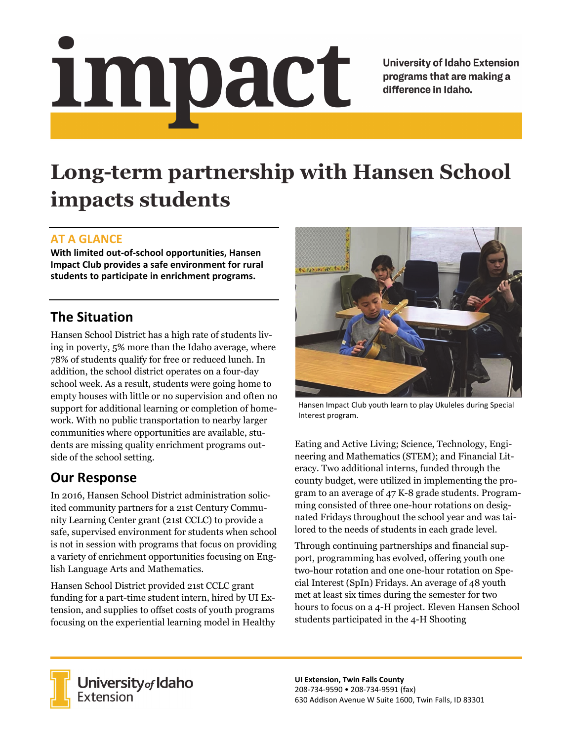# <u>impact</u>

**University of Idaho Extension** programs that are making a difference in Idaho.

# **Long-term partnership with Hansen School impacts students**

### **AT A GLANCE**

**With limited out‐of‐school opportunities, Hansen Impact Club provides a safe environment for rural students to participate in enrichment programs.**

# **The Situation**

Hansen School District has a high rate of students living in poverty, 5% more than the Idaho average, where 78% of students qualify for free or reduced lunch. In addition, the school district operates on a four-day school week. As a result, students were going home to empty houses with little or no supervision and often no support for additional learning or completion of homework. With no public transportation to nearby larger communities where opportunities are available, students are missing quality enrichment programs outside of the school setting.

# **Our Response**

In 2016, Hansen School District administration solicited community partners for a 21st Century Community Learning Center grant (21st CCLC) to provide a safe, supervised environment for students when school is not in session with programs that focus on providing a variety of enrichment opportunities focusing on English Language Arts and Mathematics.

Hansen School District provided 21st CCLC grant funding for a part-time student intern, hired by UI Extension, and supplies to offset costs of youth programs focusing on the experiential learning model in Healthy



Hansen Impact Club youth learn to play Ukuleles during Special Interest program.

Eating and Active Living; Science, Technology, Engineering and Mathematics (STEM); and Financial Literacy. Two additional interns, funded through the county budget, were utilized in implementing the program to an average of 47 K-8 grade students. Programming consisted of three one-hour rotations on designated Fridays throughout the school year and was tailored to the needs of students in each grade level.

Through continuing partnerships and financial support, programming has evolved, offering youth one two-hour rotation and one one-hour rotation on Special Interest (SpIn) Fridays. An average of 48 youth met at least six times during the semester for two hours to focus on a 4-H project. Eleven Hansen School students participated in the 4-H Shooting



**University** of Idaho<br>Extension